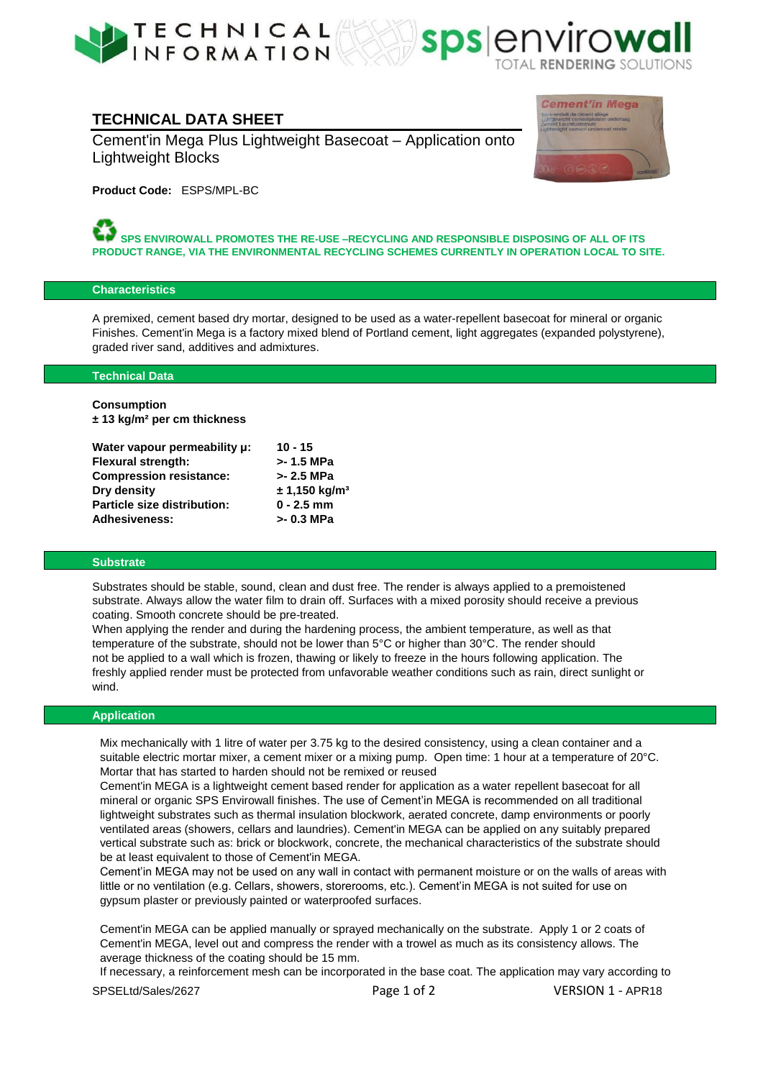



# **TECHNICAL DATA SHEET**

Cement'in Mega Plus Lightweight Basecoat – Application onto Lightweight Blocks



**Product Code:** ESPS/MPL-BC

**SPS ENVIROWALL PROMOTES THE RE-USE –RECYCLING AND RESPONSIBLE DISPOSING OF ALL OF ITS PRODUCT RANGE, VIA THE ENVIRONMENTAL RECYCLING SCHEMES CURRENTLY IN OPERATION LOCAL TO SITE.** 

### **Characteristics**

A premixed, cement based dry mortar, designed to be used as a water-repellent basecoat for mineral or organic Finishes. Cement'in Mega is a factory mixed blend of Portland cement, light aggregates (expanded polystyrene), graded river sand, additives and admixtures.

### **Technical Data**

**Consumption ± 13 kg/m² per cm thickness**

| Water vapour permeability µ:       | $10 - 15$                   |
|------------------------------------|-----------------------------|
| Flexural strength:                 | >-1.5 MPa                   |
| <b>Compression resistance:</b>     | $> 2.5$ MPa                 |
| Dry density                        | $± 1,150$ kg/m <sup>3</sup> |
| <b>Particle size distribution:</b> | $0 - 2.5$ mm                |
| Adhesiveness:                      | >- 0.3 MPa                  |

### **Substrate**

Substrates should be stable, sound, clean and dust free. The render is always applied to a premoistened substrate. Always allow the water film to drain off. Surfaces with a mixed porosity should receive a previous coating. Smooth concrete should be pre-treated.

When applying the render and during the hardening process, the ambient temperature, as well as that temperature of the substrate, should not be lower than 5°C or higher than 30°C. The render should not be applied to a wall which is frozen, thawing or likely to freeze in the hours following application. The freshly applied render must be protected from unfavorable weather conditions such as rain, direct sunlight or wind.

### **Application**

Mix mechanically with 1 litre of water per 3.75 kg to the desired consistency, using a clean container and a suitable electric mortar mixer, a cement mixer or a mixing pump. Open time: 1 hour at a temperature of 20°C. Mortar that has started to harden should not be remixed or reused

Cement'in MEGA is a lightweight cement based render for application as a water repellent basecoat for all mineral or organic SPS Envirowall finishes. The use of Cement'in MEGA is recommended on all traditional lightweight substrates such as thermal insulation blockwork, aerated concrete, damp environments or poorly ventilated areas (showers, cellars and laundries). Cement'in MEGA can be applied on any suitably prepared vertical substrate such as: brick or blockwork, concrete, the mechanical characteristics of the substrate should be at least equivalent to those of Cement'in MEGA.

Cement'in MEGA may not be used on any wall in contact with permanent moisture or on the walls of areas with little or no ventilation (e.g. Cellars, showers, storerooms, etc.). Cement'in MEGA is not suited for use on gypsum plaster or previously painted or waterproofed surfaces.

Cement'in MEGA can be applied manually or sprayed mechanically on the substrate. Apply 1 or 2 coats of Cement'in MEGA, level out and compress the render with a trowel as much as its consistency allows. The average thickness of the coating should be 15 mm.

SPSELtd/Sales/2627 Page 1 of 2 VERSION 1 - APR18 If necessary, a reinforcement mesh can be incorporated in the base coat. The application may vary according to